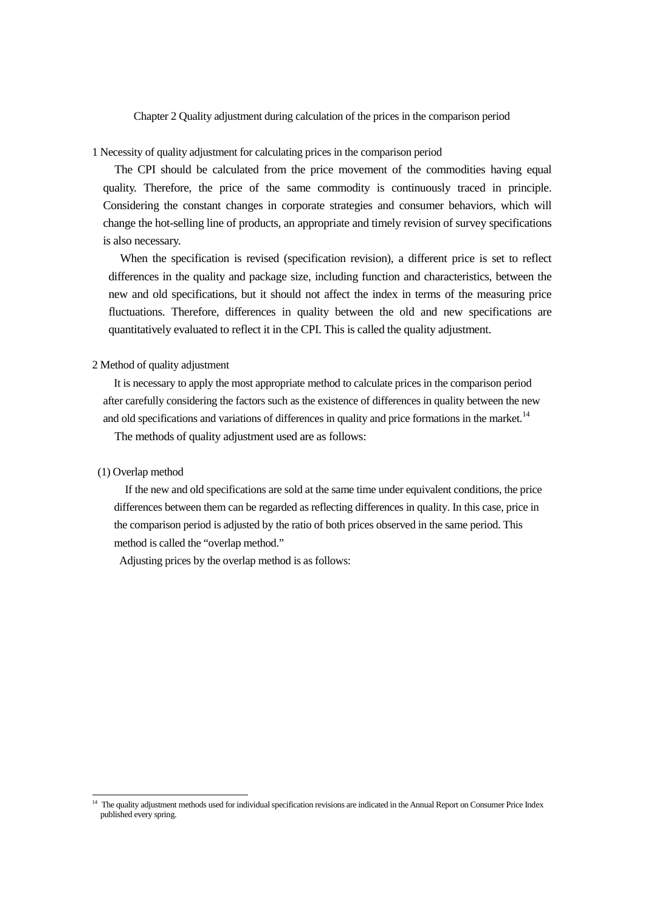Chapter 2 Quality adjustment during calculation of the prices in the comparison period

1 Necessity of quality adjustment for calculating prices in the comparison period

The CPI should be calculated from the price movement of the commodities having equal quality. Therefore, the price of the same commodity is continuously traced in principle. Considering the constant changes in corporate strategies and consumer behaviors, which will change the hot-selling line of products, an appropriate and timely revision of survey specifications is also necessary.

When the specification is revised (specification revision), a different price is set to reflect differences in the quality and package size, including function and characteristics, between the new and old specifications, but it should not affect the index in terms of the measuring price fluctuations. Therefore, differences in quality between the old and new specifications are quantitatively evaluated to reflect it in the CPI. This is called the quality adjustment.

# 2 Method of quality adjustment

It is necessary to apply the most appropriate method to calculate prices in the comparison period after carefully considering the factors such as the existence of differences in quality between the new and old specifications and variations of differences in quality and price formations in the market.<sup>[14](#page-0-0)</sup> The methods of quality adjustment used are as follows:

# (1) Overlap method

If the new and old specifications are sold at the same time under equivalent conditions, the price differences between them can be regarded as reflecting differences in quality. In this case, price in the comparison period is adjusted by the ratio of both prices observed in the same period. This method is called the "overlap method."

Adjusting prices by the overlap method is as follows:

<span id="page-0-0"></span><sup>&</sup>lt;sup>14</sup> The quality adjustment methods used for individual specification revisions are indicated in the Annual Report on Consumer Price Index published every spring.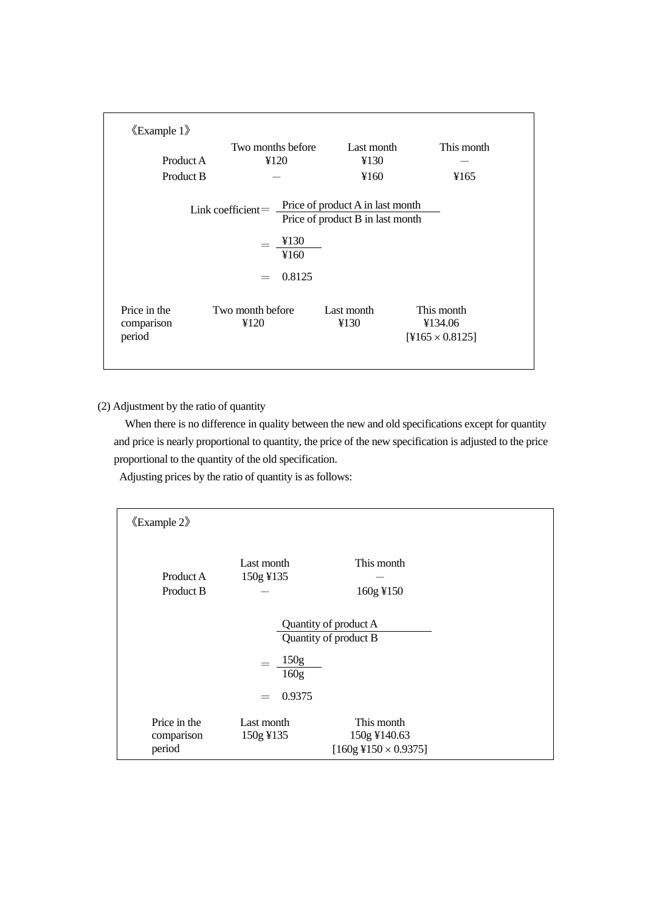|                      | Two months before                                                                                            | Last month                       | This month                        |
|----------------------|--------------------------------------------------------------------------------------------------------------|----------------------------------|-----------------------------------|
| Product A            | 4120                                                                                                         | ¥130                             |                                   |
| Product B            |                                                                                                              | ¥160                             | ¥165                              |
|                      | Link coefficient = $\frac{\text{Price of product A in last month}}{\text{Price of product A in last month}}$ | Price of product B in last month |                                   |
|                      | ¥130<br>¥160                                                                                                 |                                  |                                   |
|                      | 0.8125<br>$=$                                                                                                |                                  |                                   |
| Price in the         | Two month before                                                                                             | Last month                       | This month                        |
| comparison<br>period | ¥120                                                                                                         | ¥130                             | ¥134.06<br>$[4165 \times 0.8125]$ |

(2) Adjustment by the ratio of quantity

When there is no difference in quality between the new and old specifications except for quantity and price is nearly proportional to quantity, the price of the new specification is adjusted to the price proportional to the quantity of the old specification.

Adjusting prices by the ratio of quantity is as follows:

| $\langle$ Example 2 $\rangle$                  |                         |                                                                  |  |  |  |
|------------------------------------------------|-------------------------|------------------------------------------------------------------|--|--|--|
| Product A<br>Product B                         | Last month<br>150g ¥135 | This month<br>160g ¥150                                          |  |  |  |
| Quantity of product A<br>Quantity of product B |                         |                                                                  |  |  |  |
| 150 <sub>g</sub><br>160g                       |                         |                                                                  |  |  |  |
|                                                | 0.9375<br>$=$           |                                                                  |  |  |  |
| Price in the<br>comparison<br>period           | Last month<br>150g ¥135 | This month<br>150g ¥140.63<br>$[160g\frac{4}{3}150\times0.9375]$ |  |  |  |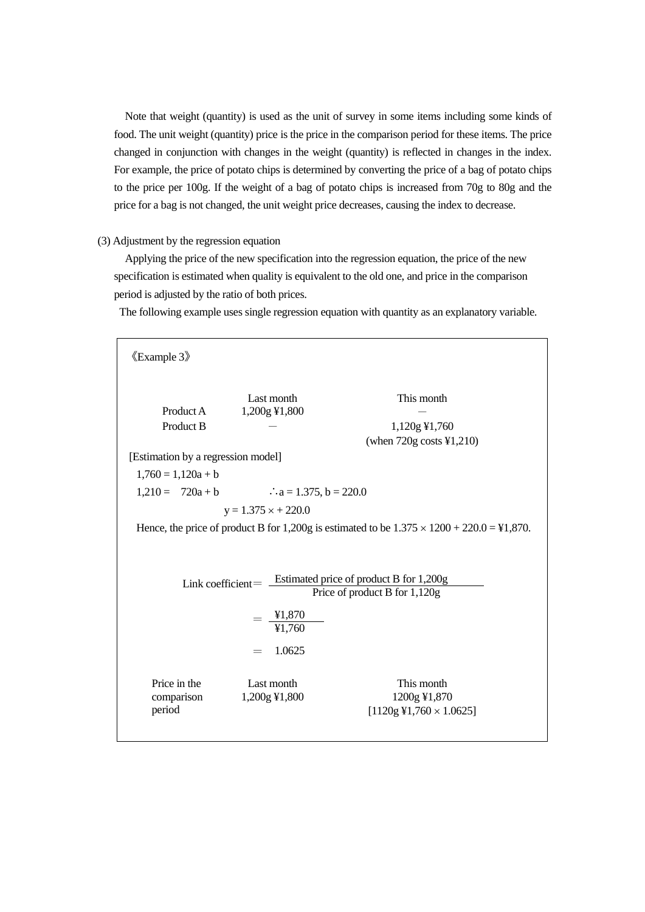Note that weight (quantity) is used as the unit of survey in some items including some kinds of food. The unit weight (quantity) price is the price in the comparison period for these items. The price changed in conjunction with changes in the weight (quantity) is reflected in changes in the index. For example, the price of potato chips is determined by converting the price of a bag of potato chips to the price per 100g. If the weight of a bag of potato chips is increased from 70g to 80g and the price for a bag is not changed, the unit weight price decreases, causing the index to decrease.

# (3) Adjustment by the regression equation

Applying the price of the new specification into the regression equation, the price of the new specification is estimated when quality is equivalent to the old one, and price in the comparison period is adjusted by the ratio of both prices.

The following example uses single regression equation with quantity as an explanatory variable.

《Example 3》 Last month This month Product A  $1,200g \text{ } \frac{1}{2}1,800$ Product B  $-$  1,120g ¥1,760 (when 720g costs ¥1,210) [Estimation by a regression model]  $1,760 = 1,120a + b$  $1,210 = 720a + b$  ∴a = 1.375, b = 220.0  $y = 1.375 \times +220.0$ Hence, the price of product B for 1,200g is estimated to be  $1.375 \times 1200 + 220.0 = 41,870$ . Link coefficient= Estimated price of product B for 1,200g Price of product B for 1,120g  $=\frac{$1,870}{}$ ¥1,760  $= 1.0625$ Price in the comparison period Last month This month 1,200g ¥1,800 1200g ¥1,870  $[1120g\,41,760\times1.0625]$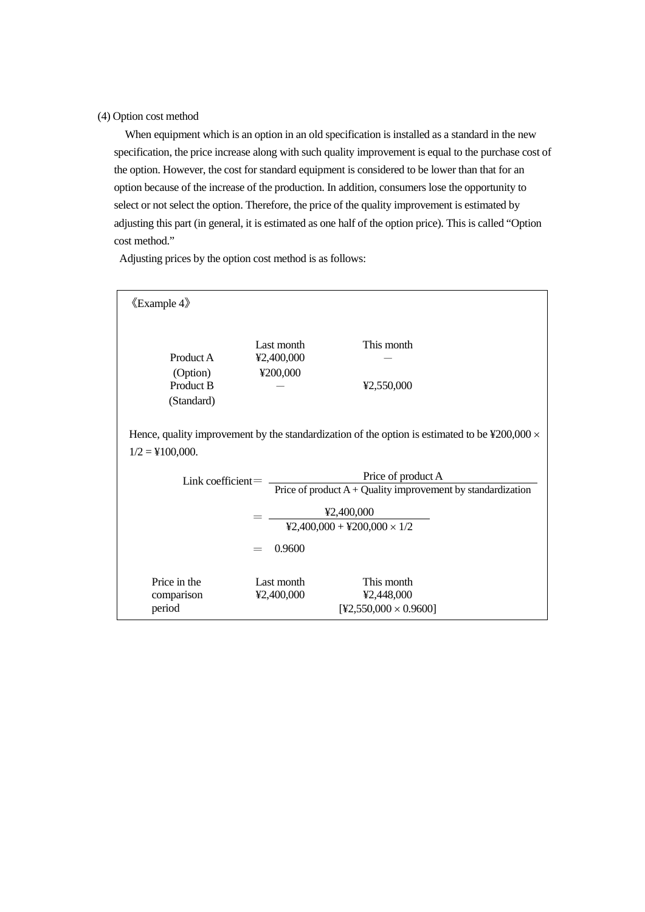(4) Option cost method

When equipment which is an option in an old specification is installed as a standard in the new specification, the price increase along with such quality improvement is equal to the purchase cost of the option. However, the cost for standard equipment is considered to be lower than that for an option because of the increase of the production. In addition, consumers lose the opportunity to select or not select the option. Therefore, the price of the quality improvement is estimated by adjusting this part (in general, it is estimated as one half of the option price). This is called "Option cost method."

Adjusting prices by the option cost method is as follows:

| $\langle$ Example 4 $\rangle$                                                                                                                |                                                  |                                            |  |  |  |  |  |
|----------------------------------------------------------------------------------------------------------------------------------------------|--------------------------------------------------|--------------------------------------------|--|--|--|--|--|
| Product A<br>(Option)<br>Product B<br>(Standard)                                                                                             | Last month<br>¥2,400,000<br>¥200,000             | This month<br>42,550,000                   |  |  |  |  |  |
| Hence, quality improvement by the standardization of the option is estimated to be $\text{\textsterling}200,000 \times$<br>$1/2 =$ ¥100,000. |                                                  |                                            |  |  |  |  |  |
| Price of product A<br>$Link coefficient =$<br>Price of product $A +$ Quality improvement by standardization                                  |                                                  |                                            |  |  |  |  |  |
|                                                                                                                                              | ¥2,400,000<br>$42,400,000 + 4200,000 \times 1/2$ |                                            |  |  |  |  |  |
| Price in the                                                                                                                                 | 0.9600<br>Last month                             | This month                                 |  |  |  |  |  |
| comparison<br>period                                                                                                                         | ¥2,400,000                                       | ¥2,448,000<br>$[42,550,000 \times 0.9600]$ |  |  |  |  |  |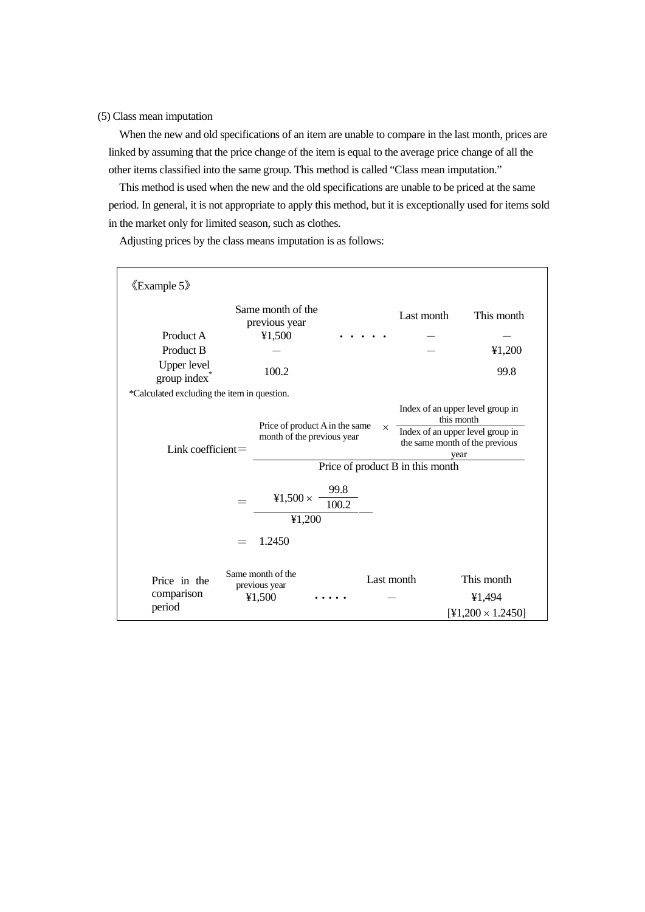(5) Class mean imputation

When the new and old specifications of an item are unable to compare in the last month, prices are linked by assuming that the price change of the item is equal to the average price change of all the other items classified into the same group. This method is called "Class mean imputation."

This method is used when the new and the old specifications are unable to be priced at the same period. In general, it is not appropriate to apply this method, but it is exceptionally used for items sold in the market only for limited season, such as clothes.

《Example 5》 Same month of the previous year Last month This month Product A  $\text{\texttt{Y1,500}}$   $\cdots$   $\cdots$   $\cdots$   $\cdots$   $\cdots$   $\cdots$ Product B  $\qquad 41,200$ Upper level group index<sup>\*</sup> 100.2 99.8 \*Calculated excluding the item in question. Link coefficient= Price of product A in the same month of the previous year Index of an upper level group in this month Index of an upper level group in the same month of the previous year Price of product B in this month ¥1,500  $\times$ 99.8 100.2 ¥1,200 = 1.2450 Price in the comparison period Same month of the previous year **Last month** This month  $\text{\yen}1,500$  ..... -  $\text{\yen}1,494$  $[41,200 \times 1.2450]$ ×

Adjusting prices by the class means imputation is as follows: